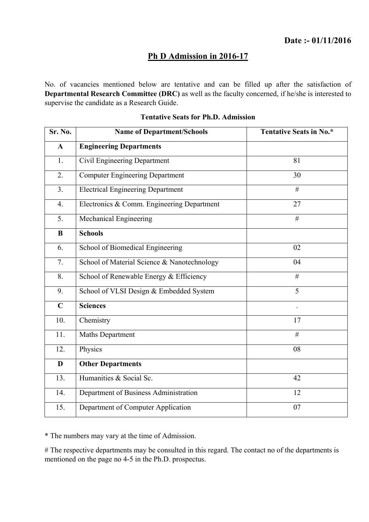### **Ph D Admission in 2016-17**

No. of vacancies mentioned below are tentative and can be filled up after the satisfaction of **Departmental Research Committee (DRC)** as well as the faculty concerned, if he/she is interested to supervise the candidate as a Research Guide.

| Sr. No.          | <b>Name of Department/Schools</b>           | Tentative Seats in No.* |
|------------------|---------------------------------------------|-------------------------|
| $\mathbf{A}$     | <b>Engineering Departments</b>              |                         |
| 1.               | Civil Engineering Department                | 81                      |
| 2.               | <b>Computer Engineering Department</b>      | 30                      |
| 3 <sub>1</sub>   | <b>Electrical Engineering Department</b>    | $\#$                    |
| $\overline{4}$ . | Electronics & Comm. Engineering Department  | 27                      |
| 5.               | Mechanical Engineering                      | #                       |
| B                | <b>Schools</b>                              |                         |
| 6.               | School of Biomedical Engineering            | 02                      |
| 7.               | School of Material Science & Nanotechnology | 04                      |
| 8.               | School of Renewable Energy & Efficiency     | #                       |
| 9.               | School of VLSI Design & Embedded System     | 5                       |
| $\mathbf C$      | <b>Sciences</b>                             |                         |
| 10.              | Chemistry                                   | 17                      |
| 11.              | <b>Maths Department</b>                     | #                       |
| 12.              | Physics                                     | 08                      |
| D                | <b>Other Departments</b>                    |                         |
| 13.              | Humanities & Social Sc.                     | 42                      |
| 14.              | Department of Business Administration       | 12                      |
| 15.              | Department of Computer Application          | 07                      |

#### **Tentative Seats for Ph.D. Admission**

\* The numbers may vary at the time of Admission.

# The respective departments may be consulted in this regard. The contact no of the departments is mentioned on the page no 4-5 in the Ph.D. prospectus.